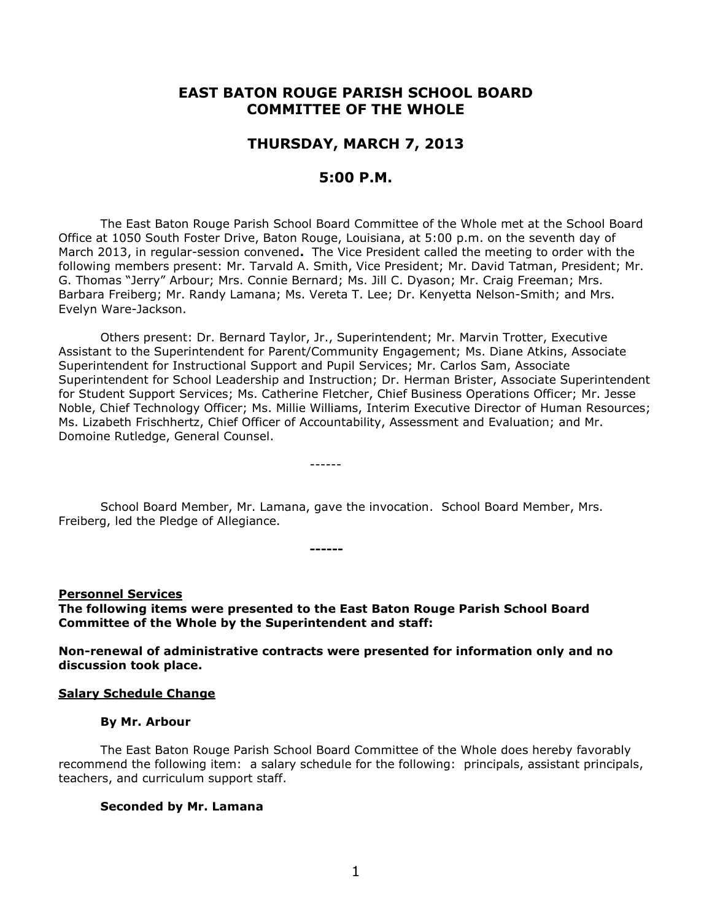# **EAST BATON ROUGE PARISH SCHOOL BOARD COMMITTEE OF THE WHOLE**

# **THURSDAY, MARCH 7, 2013**

# **5:00 P.M.**

The East Baton Rouge Parish School Board Committee of the Whole met at the School Board Office at 1050 South Foster Drive, Baton Rouge, Louisiana, at 5:00 p.m. on the seventh day of March 2013, in regular-session convened**.** The Vice President called the meeting to order with the following members present: Mr. Tarvald A. Smith, Vice President; Mr. David Tatman, President; Mr. G. Thomas "Jerry" Arbour; Mrs. Connie Bernard; Ms. Jill C. Dyason; Mr. Craig Freeman; Mrs. Barbara Freiberg; Mr. Randy Lamana; Ms. Vereta T. Lee; Dr. Kenyetta Nelson-Smith; and Mrs. Evelyn Ware-Jackson.

Others present: Dr. Bernard Taylor, Jr., Superintendent; Mr. Marvin Trotter, Executive Assistant to the Superintendent for Parent/Community Engagement; Ms. Diane Atkins, Associate Superintendent for Instructional Support and Pupil Services; Mr. Carlos Sam, Associate Superintendent for School Leadership and Instruction; Dr. Herman Brister, Associate Superintendent for Student Support Services; Ms. Catherine Fletcher, Chief Business Operations Officer; Mr. Jesse Noble, Chief Technology Officer; Ms. Millie Williams, Interim Executive Director of Human Resources; Ms. Lizabeth Frischhertz, Chief Officer of Accountability, Assessment and Evaluation; and Mr. Domoine Rutledge, General Counsel.

School Board Member, Mr. Lamana, gave the invocation. School Board Member, Mrs. Freiberg, led the Pledge of Allegiance.

**------**

------

**Personnel Services The following items were presented to the East Baton Rouge Parish School Board Committee of the Whole by the Superintendent and staff:**

**Non-renewal of administrative contracts were presented for information only and no discussion took place.**

#### **Salary Schedule Change**

#### **By Mr. Arbour**

The East Baton Rouge Parish School Board Committee of the Whole does hereby favorably recommend the following item: a salary schedule for the following: principals, assistant principals, teachers, and curriculum support staff.

#### **Seconded by Mr. Lamana**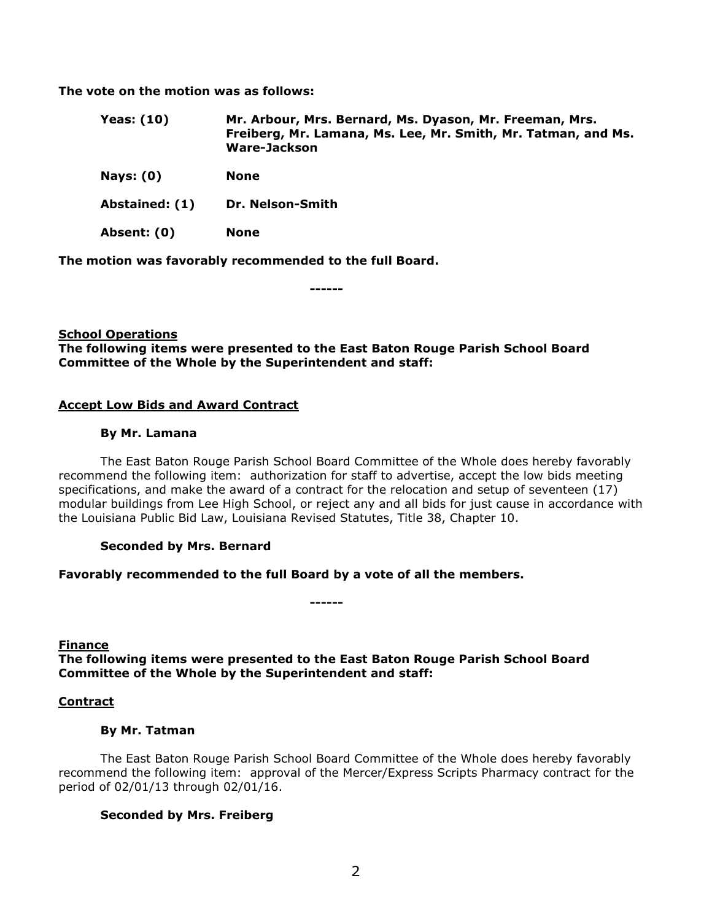**The vote on the motion was as follows:**

- **Yeas: (10) Mr. Arbour, Mrs. Bernard, Ms. Dyason, Mr. Freeman, Mrs. Freiberg, Mr. Lamana, Ms. Lee, Mr. Smith, Mr. Tatman, and Ms. Ware-Jackson**
- **Nays: (0) None**
- **Abstained: (1) Dr. Nelson-Smith**

**Absent: (0) None**

**The motion was favorably recommended to the full Board.**

**------**

# **School Operations The following items were presented to the East Baton Rouge Parish School Board Committee of the Whole by the Superintendent and staff:**

# **Accept Low Bids and Award Contract**

#### **By Mr. Lamana**

The East Baton Rouge Parish School Board Committee of the Whole does hereby favorably recommend the following item: authorization for staff to advertise, accept the low bids meeting specifications, and make the award of a contract for the relocation and setup of seventeen (17) modular buildings from Lee High School, or reject any and all bids for just cause in accordance with the Louisiana Public Bid Law, Louisiana Revised Statutes, Title 38, Chapter 10.

# **Seconded by Mrs. Bernard**

# **Favorably recommended to the full Board by a vote of all the members.**

**Finance**

**The following items were presented to the East Baton Rouge Parish School Board Committee of the Whole by the Superintendent and staff:**

**------**

# **Contract**

# **By Mr. Tatman**

The East Baton Rouge Parish School Board Committee of the Whole does hereby favorably recommend the following item: approval of the Mercer/Express Scripts Pharmacy contract for the period of 02/01/13 through 02/01/16.

# **Seconded by Mrs. Freiberg**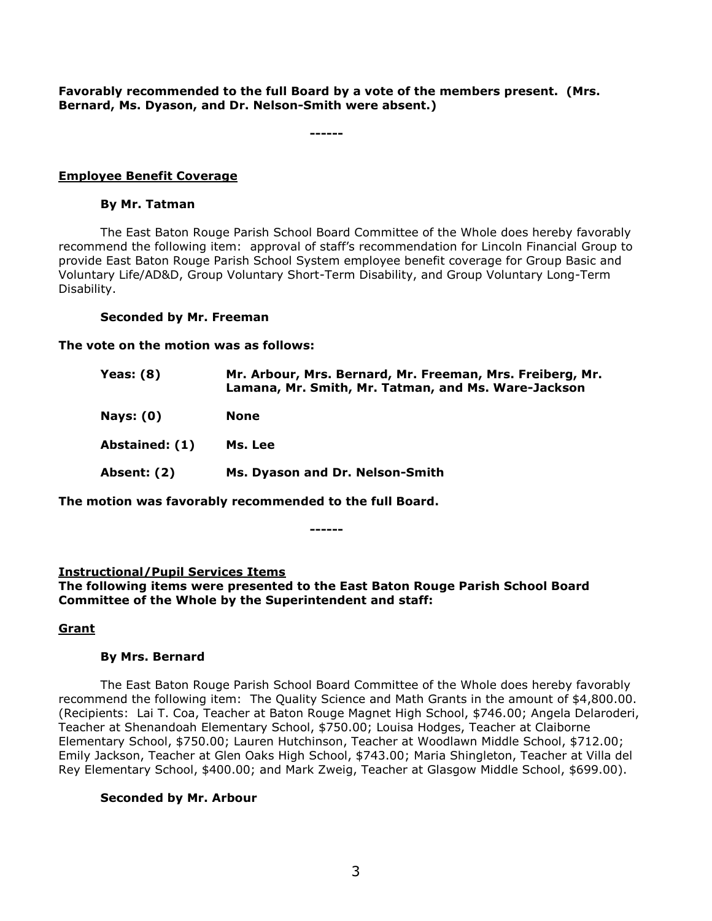**Favorably recommended to the full Board by a vote of the members present. (Mrs. Bernard, Ms. Dyason, and Dr. Nelson-Smith were absent.)**

**------**

# **Employee Benefit Coverage**

#### **By Mr. Tatman**

The East Baton Rouge Parish School Board Committee of the Whole does hereby favorably recommend the following item: approval of staff's recommendation for Lincoln Financial Group to provide East Baton Rouge Parish School System employee benefit coverage for Group Basic and Voluntary Life/AD&D, Group Voluntary Short-Term Disability, and Group Voluntary Long-Term Disability.

# **Seconded by Mr. Freeman**

**The vote on the motion was as follows:**

| Yeas: $(8)$      | Mr. Arbour, Mrs. Bernard, Mr. Freeman, Mrs. Freiberg, Mr.<br>Lamana, Mr. Smith, Mr. Tatman, and Ms. Ware-Jackson |
|------------------|------------------------------------------------------------------------------------------------------------------|
| <b>Nays: (0)</b> | <b>None</b>                                                                                                      |
| Abstained: (1)   | Ms. Lee                                                                                                          |
| Absent: (2)      | Ms. Dyason and Dr. Nelson-Smith                                                                                  |

**The motion was favorably recommended to the full Board.**

**------**

# **Instructional/Pupil Services Items**

**The following items were presented to the East Baton Rouge Parish School Board Committee of the Whole by the Superintendent and staff:**

# **Grant**

# **By Mrs. Bernard**

The East Baton Rouge Parish School Board Committee of the Whole does hereby favorably recommend the following item: The Quality Science and Math Grants in the amount of \$4,800.00. (Recipients: Lai T. Coa, Teacher at Baton Rouge Magnet High School, \$746.00; Angela Delaroderi, Teacher at Shenandoah Elementary School, \$750.00; Louisa Hodges, Teacher at Claiborne Elementary School, \$750.00; Lauren Hutchinson, Teacher at Woodlawn Middle School, \$712.00; Emily Jackson, Teacher at Glen Oaks High School, \$743.00; Maria Shingleton, Teacher at Villa del Rey Elementary School, \$400.00; and Mark Zweig, Teacher at Glasgow Middle School, \$699.00).

# **Seconded by Mr. Arbour**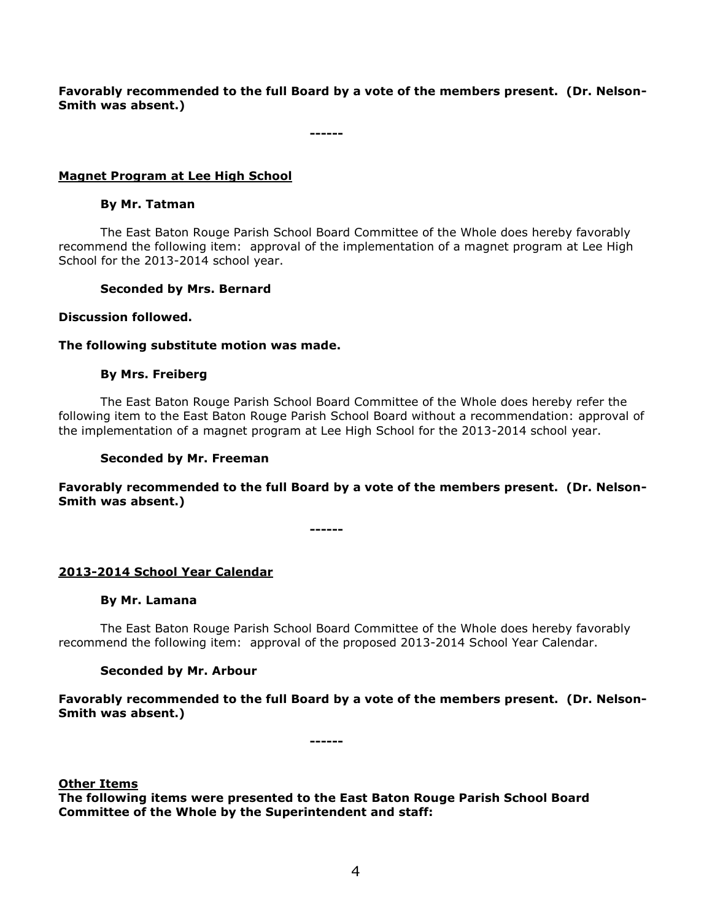**Favorably recommended to the full Board by a vote of the members present. (Dr. Nelson-Smith was absent.)**

**------**

# **Magnet Program at Lee High School**

#### **By Mr. Tatman**

The East Baton Rouge Parish School Board Committee of the Whole does hereby favorably recommend the following item: approval of the implementation of a magnet program at Lee High School for the 2013-2014 school year.

# **Seconded by Mrs. Bernard**

#### **Discussion followed.**

#### **The following substitute motion was made.**

#### **By Mrs. Freiberg**

The East Baton Rouge Parish School Board Committee of the Whole does hereby refer the following item to the East Baton Rouge Parish School Board without a recommendation: approval of the implementation of a magnet program at Lee High School for the 2013-2014 school year.

#### **Seconded by Mr. Freeman**

**Favorably recommended to the full Board by a vote of the members present. (Dr. Nelson-Smith was absent.)**

**------**

# **2013-2014 School Year Calendar**

#### **By Mr. Lamana**

The East Baton Rouge Parish School Board Committee of the Whole does hereby favorably recommend the following item: approval of the proposed 2013-2014 School Year Calendar.

# **Seconded by Mr. Arbour**

**Favorably recommended to the full Board by a vote of the members present. (Dr. Nelson-Smith was absent.)**

**------**

#### **Other Items**

**The following items were presented to the East Baton Rouge Parish School Board Committee of the Whole by the Superintendent and staff:**